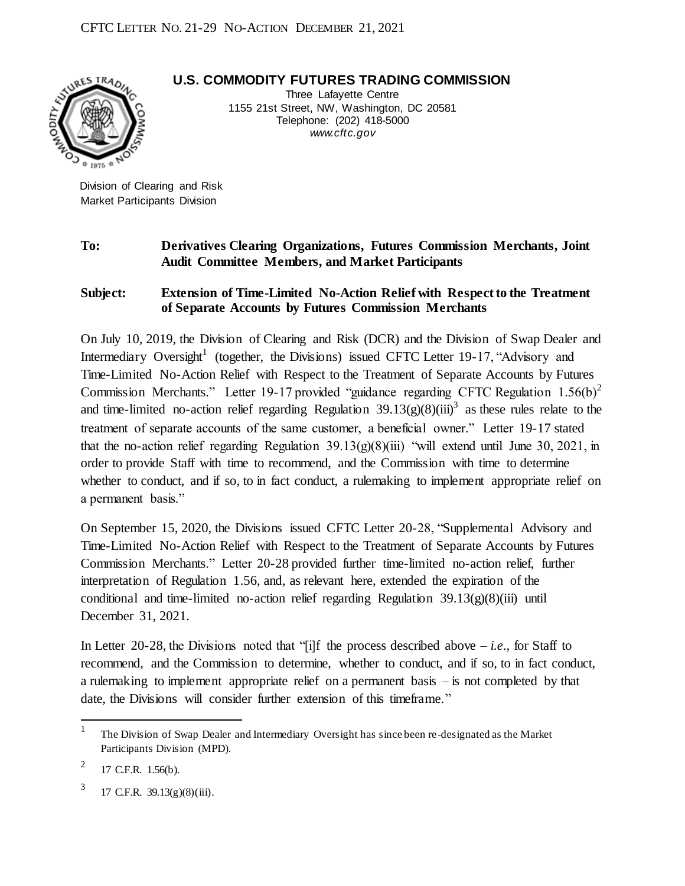**U.S. COMMODITY FUTURES TRADING COMMISSION**



Three Lafayette Centre 1155 21st Street, NW, Washington, DC 20581 Telephone: (202) 418-5000 *www.cft c.gov*

Division of Clearing and Risk Market Participants Division

## **To: Derivatives Clearing Organizations, Futures Commission Merchants, Joint Audit Committee Members, and Market Participants**

## **Subject: Extension of Time-Limited No-Action Relief with Respect to the Treatment of Separate Accounts by Futures Commission Merchants**

On July 10, 2019, the Division of Clearing and Risk (DCR) and the Division of Swap Dealer and Intermediary Oversight<sup>1</sup> (together, the Divisions) issued CFTC Letter 19-17, "Advisory and Time-Limited No-Action Relief with Respect to the Treatment of Separate Accounts by Futures Commission Merchants." Letter 19-17 provided "guidance regarding CFTC Regulation 1.56(b)<sup>2</sup> and time-limited no-action relief regarding Regulation  $39.13(g)(8)(iii)^3$  as these rules relate to the treatment of separate accounts of the same customer, a beneficial owner." Letter 19-17 stated that the no-action relief regarding Regulation  $39.13(g)(8)(iii)$  "will extend until June 30, 2021, in order to provide Staff with time to recommend, and the Commission with time to determine whether to conduct, and if so, to in fact conduct, a rulemaking to implement appropriate relief on a permanent basis."

On September 15, 2020, the Divisions issued CFTC Letter 20-28, "Supplemental Advisory and Time-Limited No-Action Relief with Respect to the Treatment of Separate Accounts by Futures Commission Merchants." Letter 20-28 provided further time-limited no-action relief, further interpretation of Regulation 1.56, and, as relevant here, extended the expiration of the conditional and time-limited no-action relief regarding Regulation  $39.13(g)(8)(iii)$  until December 31, 2021.

In Letter 20-28, the Divisions noted that "[i]f the process described above  $-i.e.,$  for Staff to recommend, and the Commission to determine, whether to conduct, and if so, to in fact conduct, a rulemaking to implement appropriate relief on a permanent basis – is not completed by that date, the Divisions will consider further extension of this timeframe."

l

<sup>1</sup> The Division of Swap Dealer and Intermediary Oversight has since been re-designated as the Market Participants Division (MPD).

<sup>2</sup> 17 C.F.R. 1.56(b).

<sup>3</sup> 17 C.F.R. 39.13(g)(8)(iii).